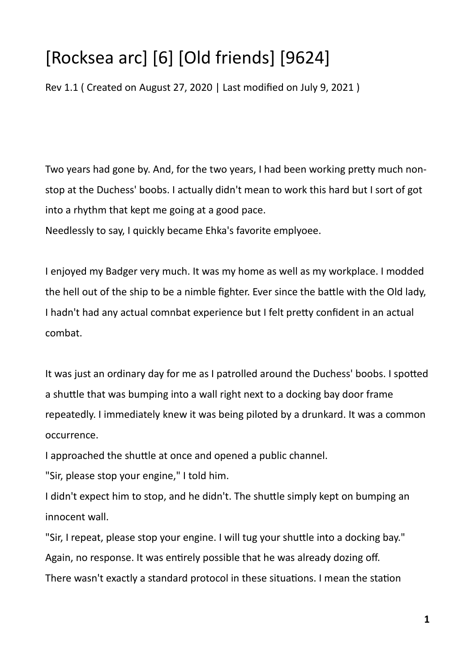## [Rocksea arc] [6] [Old friends] [9624]

Rev 1.1 ( Created on August 27, 2020 | Last modified on July 9, 2021 )

Two years had gone by. And, for the two years, I had been working pretty much nonstop at the Duchess' boobs. I actually didn't mean to work this hard but I sort of got into a rhythm that kept me going at a good pace.

Needlessly to say, I quickly became Ehka's favorite emplyoee.

I enjoyed my Badger very much. It was my home as well as my workplace. I modded the hell out of the ship to be a nimble fighter. Ever since the battle with the Old lady, I hadn't had any actual comnbat experience but I felt pretty confident in an actual combat.

It was just an ordinary day for me as I patrolled around the Duchess' boobs. I spotted a shuttle that was bumping into a wall right next to a docking bay door frame repeatedly. I immediately knew it was being piloted by a drunkard. It was a common occurrence.

I approached the shuttle at once and opened a public channel.

"Sir, please stop your engine," I told him.

I didn't expect him to stop, and he didn't. The shuttle simply kept on bumping an innocent wall.

"Sir, I repeat, please stop your engine. I will tug your shuttle into a docking bay." Again, no response. It was entirely possible that he was already dozing off. There wasn't exactly a standard protocol in these situations. I mean the station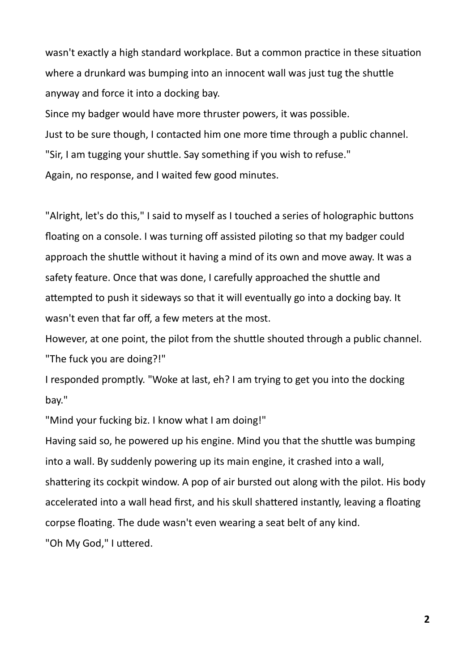wasn't exactly a high standard workplace. But a common practice in these situation where a drunkard was bumping into an innocent wall was just tug the shuttle anyway and force it into a docking bay.

Since my badger would have more thruster powers, it was possible.

Just to be sure though, I contacted him one more time through a public channel.

"Sir, I am tugging your shuttle. Say something if you wish to refuse."

Again, no response, and I waited few good minutes.

"Alright, let's do this," I said to myself as I touched a series of holographic buttons floating on a console. I was turning off assisted piloting so that my badger could approach the shuttle without it having a mind of its own and move away. It was a safety feature. Once that was done, I carefully approached the shuttle and attempted to push it sideways so that it will eventually go into a docking bay. It wasn't even that far off, a few meters at the most.

However, at one point, the pilot from the shuttle shouted through a public channel. "The fuck you are doing?!"

I responded promptly. "Woke at last, eh? I am trying to get you into the docking bay."

"Mind your fucking biz. I know what I am doing!"

Having said so, he powered up his engine. Mind you that the shuttle was bumping into a wall. By suddenly powering up its main engine, it crashed into a wall, shattering its cockpit window. A pop of air bursted out along with the pilot. His body accelerated into a wall head first, and his skull shattered instantly, leaving a floating corpse floating. The dude wasn't even wearing a seat belt of any kind. "Oh My God," I uttered.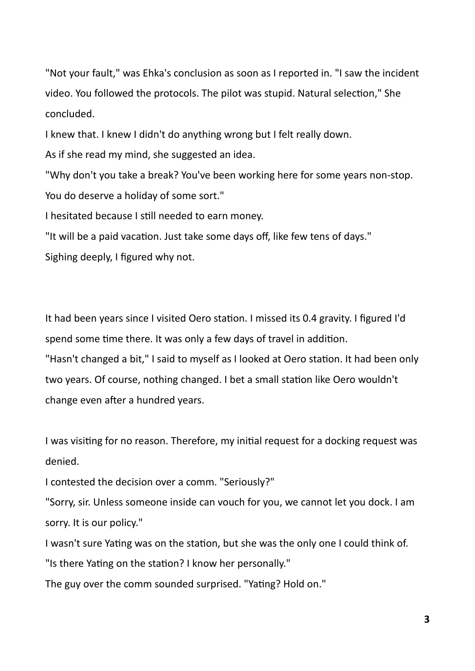"Not your fault," was Ehka's conclusion as soon as I reported in. "I saw the incident video. You followed the protocols. The pilot was stupid. Natural selection," She concluded.

I knew that. I knew I didn't do anything wrong but I felt really down.

As if she read my mind, she suggested an idea.

"Why don't you take a break? You've been working here for some years non-stop. You do deserve a holiday of some sort."

I hesitated because I still needed to earn money.

"It will be a paid vacation. Just take some days off, like few tens of days." Sighing deeply, I figured why not.

It had been years since I visited Oero station. I missed its 0.4 gravity. I figured I'd spend some time there. It was only a few days of travel in addition.

"Hasn't changed a bit," I said to myself as I looked at Oero station. It had been only two years. Of course, nothing changed. I bet a small station like Oero wouldn't change even after a hundred years.

I was visiting for no reason. Therefore, my initial request for a docking request was denied.

I contested the decision over a comm. "Seriously?"

"Sorry, sir. Unless someone inside can vouch for you, we cannot let you dock. I am sorry. It is our policy."

I wasn't sure Yating was on the station, but she was the only one I could think of. "Is there Yating on the station? I know her personally."

The guy over the comm sounded surprised. "Yating? Hold on."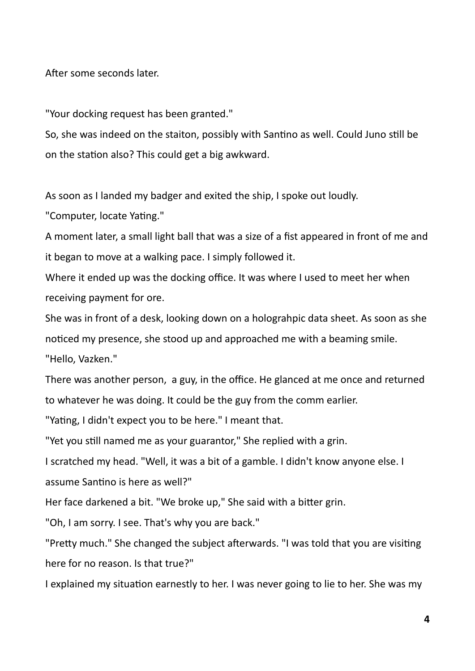After some seconds later.

"Your docking request has been granted."

So, she was indeed on the staiton, possibly with Santino as well. Could Juno still be on the station also? This could get a big awkward.

As soon as I landed my badger and exited the ship, I spoke out loudly.

"Computer, locate Yating."

A moment later, a small light ball that was a size of a fist appeared in front of me and it began to move at a walking pace. I simply followed it.

Where it ended up was the docking office. It was where I used to meet her when receiving payment for ore.

She was in front of a desk, looking down on a holograhpic data sheet. As soon as she noticed my presence, she stood up and approached me with a beaming smile. "Hello, Vazken."

There was another person, a guy, in the office. He glanced at me once and returned to whatever he was doing. It could be the guy from the comm earlier.

"Yating, I didn't expect you to be here." I meant that.

"Yet you still named me as your guarantor," She replied with a grin.

I scratched my head. "Well, it was a bit of a gamble. I didn't know anyone else. I

assume Santino is here as well?"

Her face darkened a bit. "We broke up," She said with a bitter grin.

"Oh, I am sorry. I see. That's why you are back."

"Pretty much." She changed the subject afterwards. "I was told that you are visiting here for no reason. Is that true?"

I explained my situation earnestly to her. I was never going to lie to her. She was my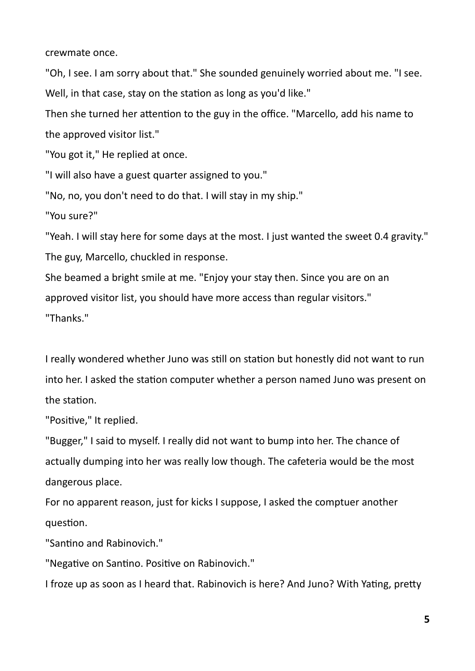crewmate once.

"Oh, I see. I am sorry about that." She sounded genuinely worried about me. "I see. Well, in that case, stay on the station as long as you'd like."

Then she turned her attention to the guy in the office. "Marcello, add his name to the approved visitor list."

"You got it," He replied at once.

"I will also have a guest quarter assigned to you."

"No, no, you don't need to do that. I will stay in my ship."

"You sure?"

"Yeah. I will stay here for some days at the most. I just wanted the sweet 0.4 gravity." The guy, Marcello, chuckled in response.

She beamed a bright smile at me. "Enjoy your stay then. Since you are on an approved visitor list, you should have more access than regular visitors." "Thanks."

I really wondered whether Juno was still on station but honestly did not want to run into her. I asked the station computer whether a person named Juno was present on the station.

"Positive," It replied.

"Bugger," I said to myself. I really did not want to bump into her. The chance of actually dumping into her was really low though. The cafeteria would be the most dangerous place.

For no apparent reason, just for kicks I suppose, I asked the comptuer another question.

"Santino and Rabinovich."

"Negative on Santino. Positive on Rabinovich."

I froze up as soon as I heard that. Rabinovich is here? And Juno? With Yating, pretty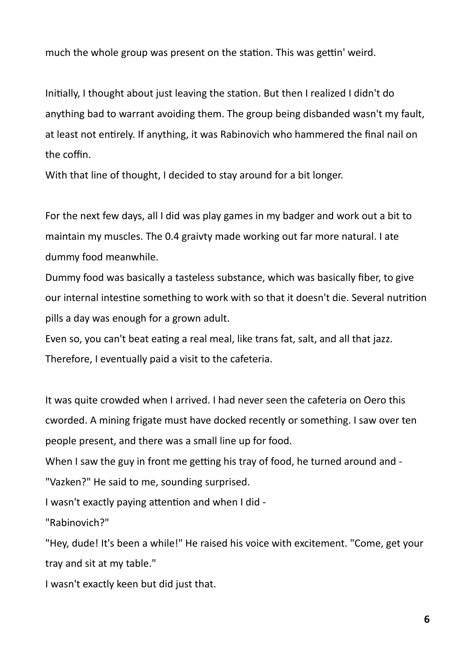much the whole group was present on the station. This was gettin' weird.

Initially, I thought about just leaving the station. But then I realized I didn't do anything bad to warrant avoiding them. The group being disbanded wasn't my fault, at least not entirely. If anything, it was Rabinovich who hammered the final nail on the coffin.

With that line of thought, I decided to stay around for a bit longer.

For the next few days, all I did was play games in my badger and work out a bit to maintain my muscles. The 0.4 graivty made working out far more natural. I ate dummy food meanwhile.

Dummy food was basically a tasteless substance, which was basically fiber, to give our internal intestine something to work with so that it doesn't die. Several nutrition pills a day was enough for a grown adult.

Even so, you can't beat eating a real meal, like trans fat, salt, and all that jazz. Therefore, I eventually paid a visit to the cafeteria.

It was quite crowded when I arrived. I had never seen the cafeteria on Oero this cworded. A mining frigate must have docked recently or something. I saw over ten people present, and there was a small line up for food.

When I saw the guy in front me getting his tray of food, he turned around and - "Vazken?" He said to me, sounding surprised.

I wasn't exactly paying attention and when I did -

"Rabinovich?"

"Hey, dude! It's been a while!" He raised his voice with excitement. "Come, get your tray and sit at my table."

I wasn't exactly keen but did just that.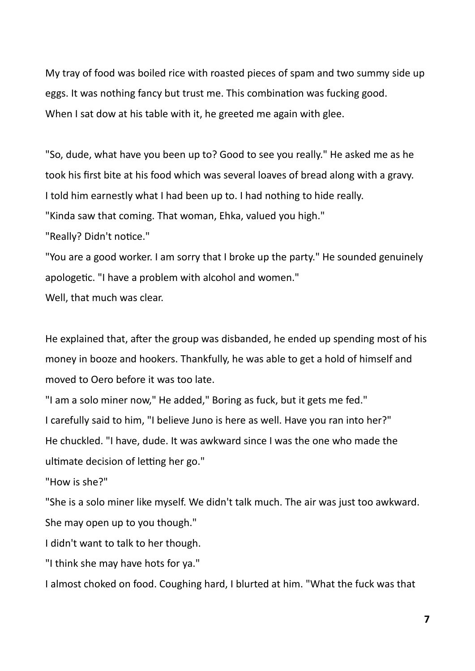My tray of food was boiled rice with roasted pieces of spam and two summy side up eggs. It was nothing fancy but trust me. This combination was fucking good. When I sat dow at his table with it, he greeted me again with glee.

"So, dude, what have you been up to? Good to see you really." He asked me as he took his first bite at his food which was several loaves of bread along with a gravy. I told him earnestly what I had been up to. I had nothing to hide really. "Kinda saw that coming. That woman, Ehka, valued you high."

"Really? Didn't notice."

"You are a good worker. I am sorry that I broke up the party." He sounded genuinely apologetic. "I have a problem with alcohol and women."

Well, that much was clear.

He explained that, after the group was disbanded, he ended up spending most of his money in booze and hookers. Thankfully, he was able to get a hold of himself and moved to Oero before it was too late.

"I am a solo miner now," He added," Boring as fuck, but it gets me fed." I carefully said to him, "I believe Juno is here as well. Have you ran into her?" He chuckled. "I have, dude. It was awkward since I was the one who made the ultimate decision of letting her go."

"How is she?"

"She is a solo miner like myself. We didn't talk much. The air was just too awkward. She may open up to you though."

I didn't want to talk to her though.

"I think she may have hots for ya."

I almost choked on food. Coughing hard, I blurted at him. "What the fuck was that